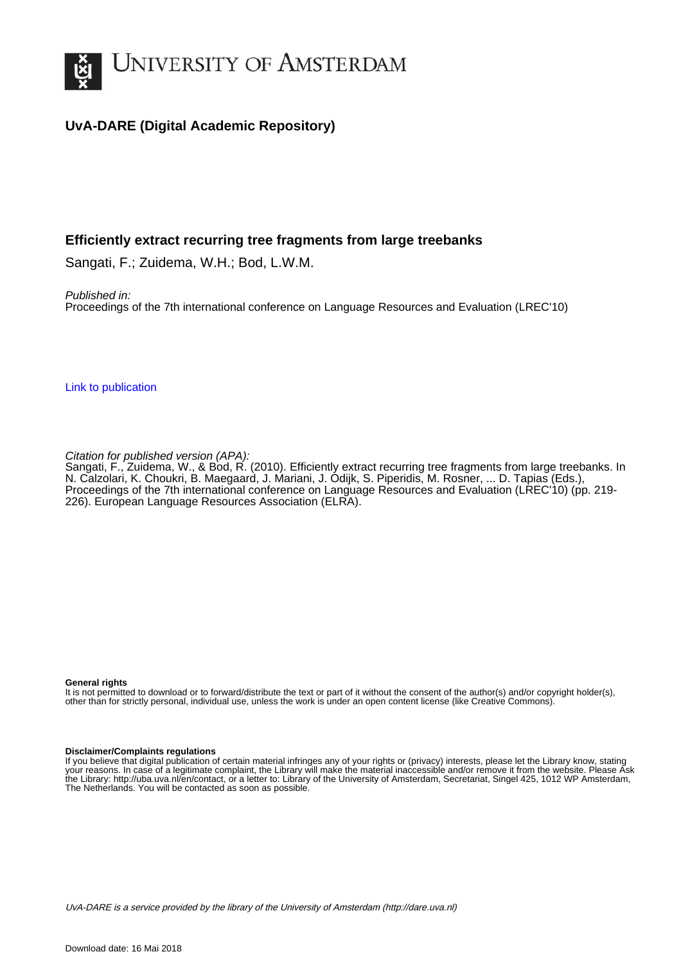

# **UvA-DARE (Digital Academic Repository)**

# **Efficiently extract recurring tree fragments from large treebanks**

Sangati, F.; Zuidema, W.H.; Bod, L.W.M.

Published in: Proceedings of the 7th international conference on Language Resources and Evaluation (LREC'10)

[Link to publication](http://dare.uva.nl/personal/pure/en/publications/efficiently-extract-recurring-tree-fragments-from-large-treebanks(6671c501-e491-442e-a342-acab9bedc75b).html)

Citation for published version (APA):

Sangati, F., Zuidema, W., & Bod, R. (2010). Efficiently extract recurring tree fragments from large treebanks. In N. Calzolari, K. Choukri, B. Maegaard, J. Mariani, J. Odijk, S. Piperidis, M. Rosner, ... D. Tapias (Eds.), Proceedings of the 7th international conference on Language Resources and Evaluation (LREC'10) (pp. 219- 226). European Language Resources Association (ELRA).

#### **General rights**

It is not permitted to download or to forward/distribute the text or part of it without the consent of the author(s) and/or copyright holder(s), other than for strictly personal, individual use, unless the work is under an open content license (like Creative Commons).

#### **Disclaimer/Complaints regulations**

If you believe that digital publication of certain material infringes any of your rights or (privacy) interests, please let the Library know, stating your reasons. In case of a legitimate complaint, the Library will make the material inaccessible and/or remove it from the website. Please Ask the Library: http://uba.uva.nl/en/contact, or a letter to: Library of the University of Amsterdam, Secretariat, Singel 425, 1012 WP Amsterdam, The Netherlands. You will be contacted as soon as possible.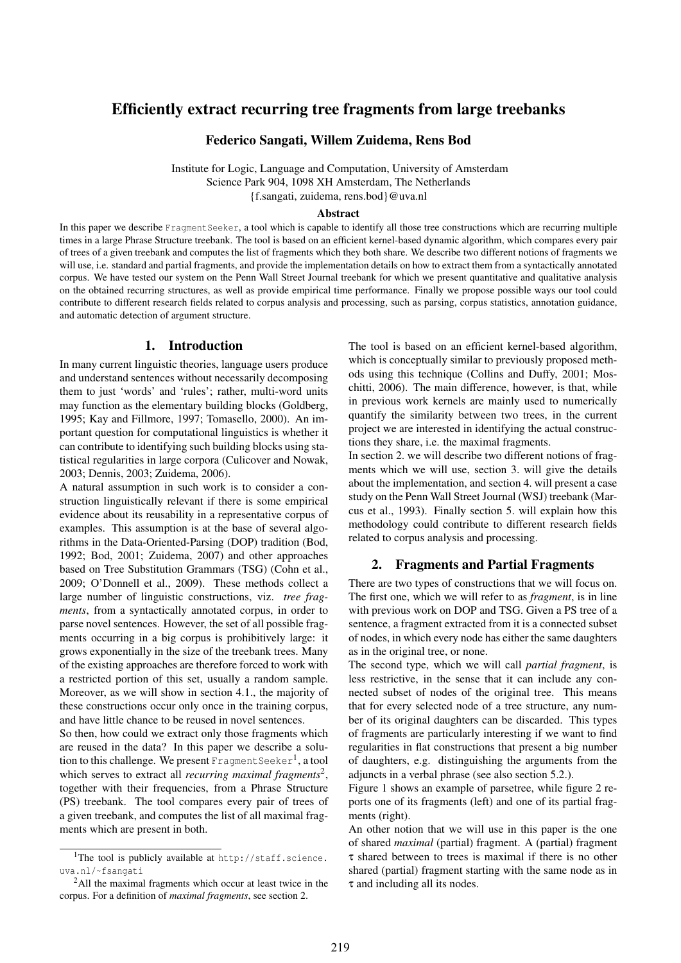# Efficiently extract recurring tree fragments from large treebanks

Federico Sangati, Willem Zuidema, Rens Bod

Institute for Logic, Language and Computation, University of Amsterdam Science Park 904, 1098 XH Amsterdam, The Netherlands {f.sangati, zuidema, rens.bod}@uva.nl

#### Abstract

In this paper we describe FragmentSeeker, a tool which is capable to identify all those tree constructions which are recurring multiple times in a large Phrase Structure treebank. The tool is based on an efficient kernel-based dynamic algorithm, which compares every pair of trees of a given treebank and computes the list of fragments which they both share. We describe two different notions of fragments we will use, i.e. standard and partial fragments, and provide the implementation details on how to extract them from a syntactically annotated corpus. We have tested our system on the Penn Wall Street Journal treebank for which we present quantitative and qualitative analysis on the obtained recurring structures, as well as provide empirical time performance. Finally we propose possible ways our tool could contribute to different research fields related to corpus analysis and processing, such as parsing, corpus statistics, annotation guidance, and automatic detection of argument structure.

## 1. Introduction

In many current linguistic theories, language users produce and understand sentences without necessarily decomposing them to just 'words' and 'rules'; rather, multi-word units may function as the elementary building blocks (Goldberg, 1995; Kay and Fillmore, 1997; Tomasello, 2000). An important question for computational linguistics is whether it can contribute to identifying such building blocks using statistical regularities in large corpora (Culicover and Nowak, 2003; Dennis, 2003; Zuidema, 2006).

A natural assumption in such work is to consider a construction linguistically relevant if there is some empirical evidence about its reusability in a representative corpus of examples. This assumption is at the base of several algorithms in the Data-Oriented-Parsing (DOP) tradition (Bod, 1992; Bod, 2001; Zuidema, 2007) and other approaches based on Tree Substitution Grammars (TSG) (Cohn et al., 2009; O'Donnell et al., 2009). These methods collect a large number of linguistic constructions, viz. *tree fragments*, from a syntactically annotated corpus, in order to parse novel sentences. However, the set of all possible fragments occurring in a big corpus is prohibitively large: it grows exponentially in the size of the treebank trees. Many of the existing approaches are therefore forced to work with a restricted portion of this set, usually a random sample. Moreover, as we will show in section 4.1., the majority of these constructions occur only once in the training corpus, and have little chance to be reused in novel sentences.

So then, how could we extract only those fragments which are reused in the data? In this paper we describe a solution to this challenge. We present Fragment Seeker<sup>1</sup>, a tool which serves to extract all *recurring maximal fragments*<sup>2</sup> , together with their frequencies, from a Phrase Structure (PS) treebank. The tool compares every pair of trees of a given treebank, and computes the list of all maximal fragments which are present in both.

The tool is based on an efficient kernel-based algorithm, which is conceptually similar to previously proposed methods using this technique (Collins and Duffy, 2001; Moschitti, 2006). The main difference, however, is that, while in previous work kernels are mainly used to numerically quantify the similarity between two trees, in the current project we are interested in identifying the actual constructions they share, i.e. the maximal fragments.

In section 2. we will describe two different notions of fragments which we will use, section 3. will give the details about the implementation, and section 4. will present a case study on the Penn Wall Street Journal (WSJ) treebank (Marcus et al., 1993). Finally section 5. will explain how this methodology could contribute to different research fields related to corpus analysis and processing.

### 2. Fragments and Partial Fragments

There are two types of constructions that we will focus on. The first one, which we will refer to as *fragment*, is in line with previous work on DOP and TSG. Given a PS tree of a sentence, a fragment extracted from it is a connected subset of nodes, in which every node has either the same daughters as in the original tree, or none.

The second type, which we will call *partial fragment*, is less restrictive, in the sense that it can include any connected subset of nodes of the original tree. This means that for every selected node of a tree structure, any number of its original daughters can be discarded. This types of fragments are particularly interesting if we want to find regularities in flat constructions that present a big number of daughters, e.g. distinguishing the arguments from the adjuncts in a verbal phrase (see also section 5.2.).

Figure 1 shows an example of parsetree, while figure 2 reports one of its fragments (left) and one of its partial fragments (right).

An other notion that we will use in this paper is the one of shared *maximal* (partial) fragment. A (partial) fragment τ shared between to trees is maximal if there is no other shared (partial) fragment starting with the same node as in τ and including all its nodes.

<sup>&</sup>lt;sup>1</sup>The tool is publicly available at  $http://staff.science.$ uva.nl/~fsangati

<sup>2</sup>All the maximal fragments which occur at least twice in the corpus. For a definition of *maximal fragments*, see section 2.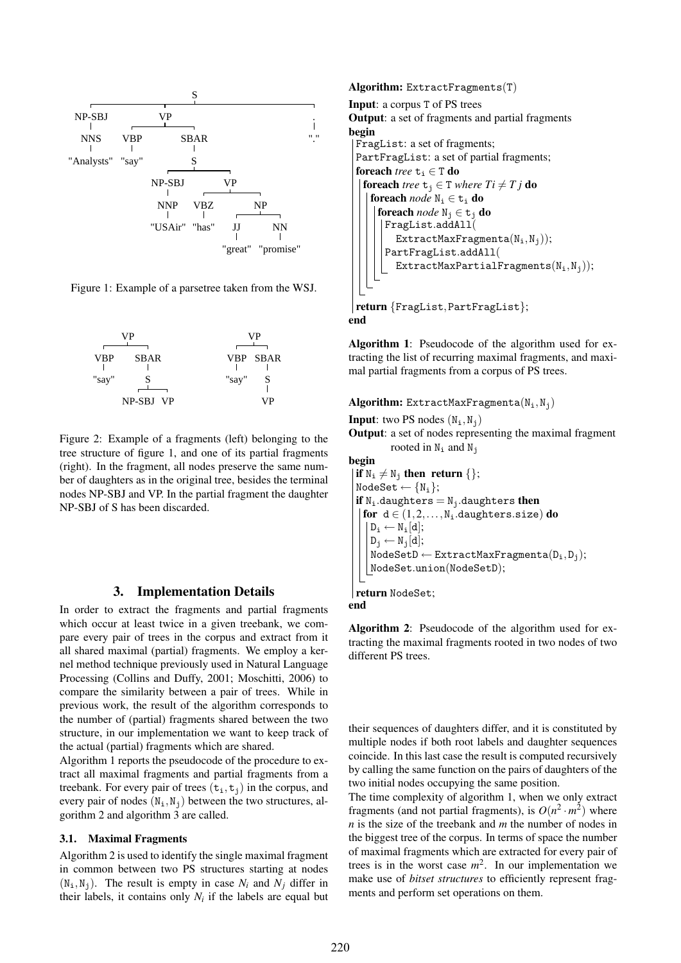

Figure 1: Example of a parsetree taken from the WSJ.



Figure 2: Example of a fragments (left) belonging to the tree structure of figure 1, and one of its partial fragments (right). In the fragment, all nodes preserve the same number of daughters as in the original tree, besides the terminal nodes NP-SBJ and VP. In the partial fragment the daughter NP-SBJ of S has been discarded.

### 3. Implementation Details

In order to extract the fragments and partial fragments which occur at least twice in a given treebank, we compare every pair of trees in the corpus and extract from it all shared maximal (partial) fragments. We employ a kernel method technique previously used in Natural Language Processing (Collins and Duffy, 2001; Moschitti, 2006) to compare the similarity between a pair of trees. While in previous work, the result of the algorithm corresponds to the number of (partial) fragments shared between the two structure, in our implementation we want to keep track of the actual (partial) fragments which are shared.

Algorithm 1 reports the pseudocode of the procedure to extract all maximal fragments and partial fragments from a treebank. For every pair of trees  $(t_i, t_j)$  in the corpus, and every pair of nodes  $(N_i, N_j)$  between the two structures, algorithm 2 and algorithm 3 are called.

### 3.1. Maximal Fragments

Algorithm 2 is used to identify the single maximal fragment in common between two PS structures starting at nodes  $(N_i, N_j)$ . The result is empty in case  $N_i$  and  $N_j$  differ in their labels, it contains only  $N_i$  if the labels are equal but

```
Algorithm: ExtractFragments(T)
Input: a corpus T of PS trees
Output: a set of fragments and partial fragments
begin
 FragList: a set of fragments;
 PartFragList: a set of partial fragments;
 foreach tree t_i \in T do
   foreach tree t_i \in T where Ti \neq T j do
    foreach node N_i \in t_i do
      foreach node N_i \in t_j do
       FragList.addAll(
         ExtractMaxFragmenta(N_i,N_j));PartFragList.addAll(
         ExtractMaxPartialFragments(N_i, N_j);
 return {FragList,PartFragList};
end
```
Algorithm 1: Pseudocode of the algorithm used for extracting the list of recurring maximal fragments, and maximal partial fragments from a corpus of PS trees.

Algorithm: ExtractMaxFragmenta $(N_i, N_j)$ 

**Input:** two PS nodes  $(N_i, N_j)$ 

Output: a set of nodes representing the maximal fragment rooted in  $N_i$  and  $N_j$ 

begin  $\{ \text{if } N_i \neq N_j \text{ then return } \{ \};$  $NodeSet \leftarrow \{N_i\};$ if  $N_i$ .daughters =  $N_i$ .daughters then for  $d \in (1, 2, ..., N_i)$ .daughters.size) do  $D_i \leftarrow N_i[d];$  $D_i \leftarrow N_i[d];$  $\text{NodeSetD} \leftarrow \text{ExtractMaxFragment}(D_i, D_j);$ NodeSet.union(NodeSetD); return NodeSet;

end

Algorithm 2: Pseudocode of the algorithm used for extracting the maximal fragments rooted in two nodes of two different PS trees.

their sequences of daughters differ, and it is constituted by multiple nodes if both root labels and daughter sequences coincide. In this last case the result is computed recursively by calling the same function on the pairs of daughters of the two initial nodes occupying the same position.

The time complexity of algorithm 1, when we only extract fragments (and not partial fragments), is  $O(n^2 \cdot m^2)$  where *n* is the size of the treebank and *m* the number of nodes in the biggest tree of the corpus. In terms of space the number of maximal fragments which are extracted for every pair of trees is in the worst case  $m^2$ . In our implementation we make use of *bitset structures* to efficiently represent fragments and perform set operations on them.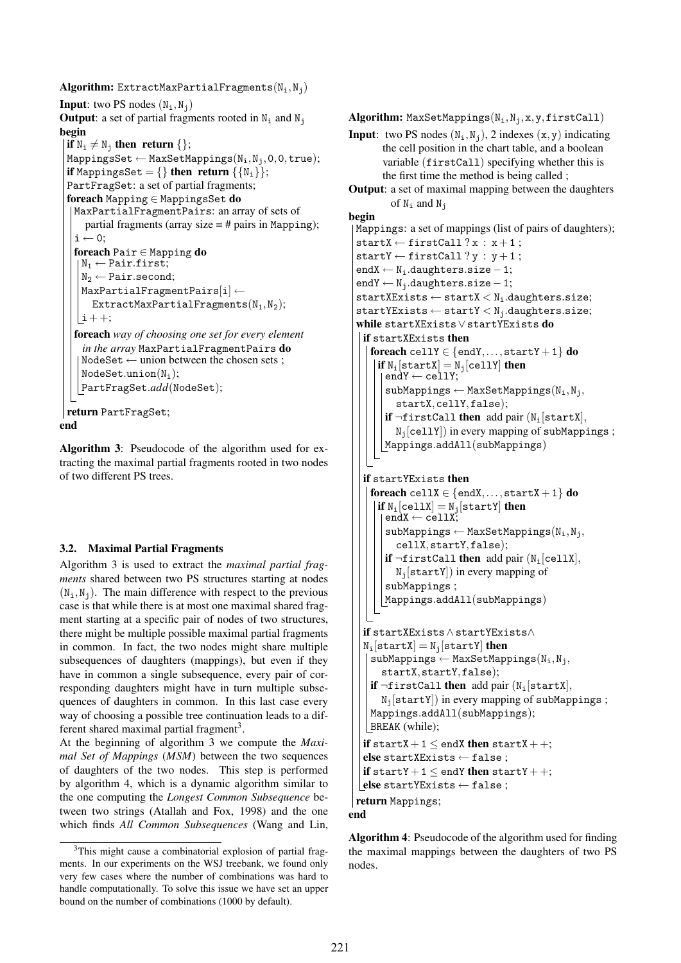```
Algorithm: ExtractMaxPartialFragments(N_i, N_j)
Input: two PS nodes (N_i, N_j)Output: a set of partial fragments rooted in N_i and N_jbegin
 if N_i \neq N_j then return \{\};
 MappingsSet \leftarrow MaxSetMappings(N_i, N_i, 0, 0, true);if MappingsSet = \{ \} then return \{ \{ N_i \} \};PartFragSet: a set of partial fragments;
 foreach Mapping ∈ MappingsSet do
  MaxPartialFragmentPairs: an array of sets of
     partial fragments (array size = # pairs in Mapping);
   i \leftarrow 0:
   foreach Pair ∈ Mapping do
   \mathbb{N}_1 \leftarrow Pair.first;
    N_2 \leftarrow Pair.second;
    MaxPartialFragmentPairs[i] \leftarrowExtractMaxPartialFragments(N_1, N_2);
   |i + +;foreach way of choosing one set for every element
    in the array MaxPartialFragmentPairs do
    NodeSet \leftarrow union between the chosen sets ;
    NodeSet.union(N_i);PartFragSet.add(NodeSet);
return PartFragSet;
end
```
Algorithm 3: Pseudocode of the algorithm used for extracting the maximal partial fragments rooted in two nodes of two different PS trees.

## 3.2. Maximal Partial Fragments

Algorithm 3 is used to extract the *maximal partial fragments* shared between two PS structures starting at nodes  $(N_i, N_j)$ . The main difference with respect to the previous case is that while there is at most one maximal shared fragment starting at a specific pair of nodes of two structures, there might be multiple possible maximal partial fragments in common. In fact, the two nodes might share multiple subsequences of daughters (mappings), but even if they have in common a single subsequence, every pair of corresponding daughters might have in turn multiple subsequences of daughters in common. In this last case every way of choosing a possible tree continuation leads to a different shared maximal partial fragment<sup>3</sup>.

At the beginning of algorithm 3 we compute the *Maximal Set of Mappings* (*MSM*) between the two sequences of daughters of the two nodes. This step is performed by algorithm 4, which is a dynamic algorithm similar to the one computing the *Longest Common Subsequence* between two strings (Atallah and Fox, 1998) and the one which finds *All Common Subsequences* (Wang and Lin,

```
Algorithm: MaxSetMappings(N_i, N_i, x, y, firstCall)Input: two PS nodes (N_i, N_j), 2 indexes (x, y) indicating
       the cell position in the chart table, and a boolean
       variable (firstCall) specifying whether this is
       the first time the method is being called ;
Output: a set of maximal mapping between the daughters
         of N_i and N_jbegin
 Mappings: a set of mappings (list of pairs of daughters);
 startX \leftarrow firstCall ? x : x+1;startY \leftarrow firstCall ? y : y + 1;endX ← Ni.daughters.size−1;
 endY \leftarrow N_i.daughters.size -1;
 startXExists \leftarrow startX < N_i.daughters.size;startYExists \leftarrow startY \leftarrow N_i.daughters.size;while startXExists∨startYExists do
   if startXExists then
    foreach cellY \in {endY,..., startY + 1} do
      if N_i[startX] = N_i[cellY] then
        endY \leftarrow cellY;
        subMappings \leftarrow MaxSetMappings(N_i,N_j,startX,cellY,false);
        if \negfirstCall then add pair (N<sub>i</sub>[startX],
          N_i[cellY]) in every mapping of subMappings;
       Mappings.addAll(subMappings)
   if startYExists then
    foreach cellX \in {endX,..., startX + 1} do
      if N_i[cellX] = N_i[startY] then
        \texttt{endX} \leftarrow \texttt{cellX};subMappings \leftarrow MaxSetMappings(N_i,N_j,cellX,startY,false);
        if \negfirstCall then add pair (N<sub>i</sub>[cellX],
          N_i[startY]) in every mapping of
        subMappings ;
       Mappings.addAll(subMappings)
   if startXExists∧startYExists∧
   N_i[startX] = N_i[startY] then
    subMappings \leftarrow MaxSetMappings(N_i,N_j,startX,startY,false);
    if \negfirstCall then add pair (N<sub>i</sub>[startX],
       N_i[startY]) in every mapping of subMappings;
    Mappings.addAll(subMappings);
    BREAK (while);
   if startX + 1 \leq endX then startX + +;
   else startXExists ← false ;
   if startY + 1 \leq endY then startY + +;
  \vertelse startYExists ← false;
 return Mappings;
end
```
Algorithm 4: Pseudocode of the algorithm used for finding the maximal mappings between the daughters of two PS nodes.

<sup>&</sup>lt;sup>3</sup>This might cause a combinatorial explosion of partial fragments. In our experiments on the WSJ treebank, we found only very few cases where the number of combinations was hard to handle computationally. To solve this issue we have set an upper bound on the number of combinations (1000 by default).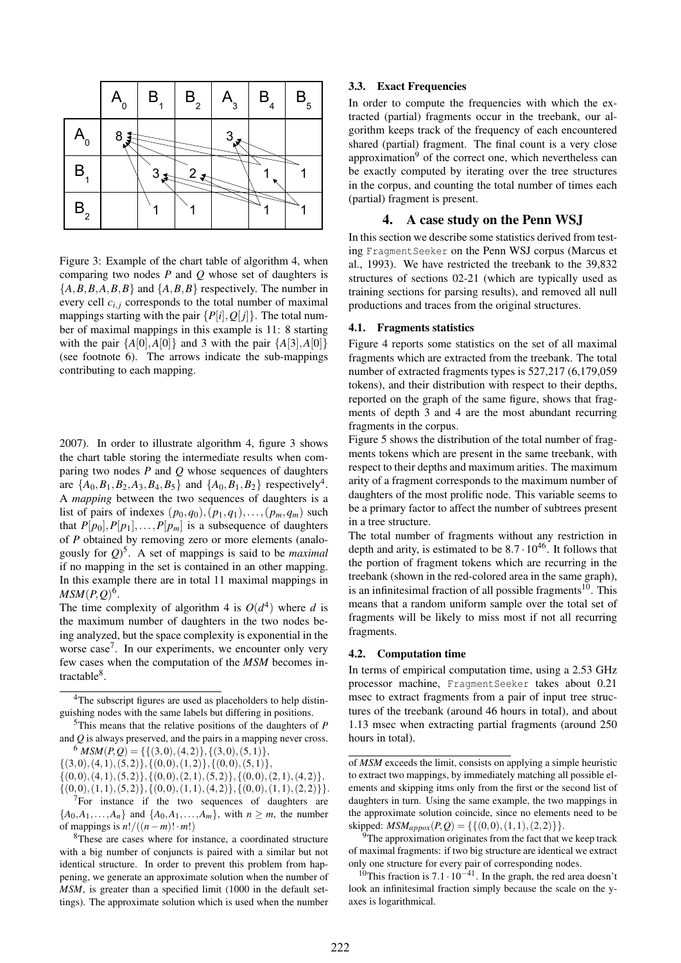

Figure 3: Example of the chart table of algorithm 4, when comparing two nodes *P* and *Q* whose set of daughters is  ${A,B,B,A,B,B}$  and  ${A,B,B}$  respectively. The number in every cell  $c_{i,j}$  corresponds to the total number of maximal mappings starting with the pair  $\{P[i], Q[j]\}$ . The total number of maximal mappings in this example is 11: 8 starting with the pair  $\{A[0], A[0]\}$  and 3 with the pair  $\{A[3], A[0]\}$ (see footnote 6). The arrows indicate the sub-mappings contributing to each mapping.

2007). In order to illustrate algorithm 4, figure 3 shows the chart table storing the intermediate results when comparing two nodes *P* and *Q* whose sequences of daughters are  $\{A_0, B_1, B_2, A_3, B_4, B_5\}$  and  $\{A_0, B_1, B_2\}$  respectively<sup>4</sup>. A *mapping* between the two sequences of daughters is a list of pairs of indexes  $(p_0, q_0), (p_1, q_1), \ldots, (p_m, q_m)$  such that  $P[p_0], P[p_1], \ldots, P[p_m]$  is a subsequence of daughters of *P* obtained by removing zero or more elements (analogously for *Q*) 5 . A set of mappings is said to be *maximal* if no mapping in the set is contained in an other mapping. In this example there are in total 11 maximal mappings in  $MSM(P,Q)^6$ .

The time complexity of algorithm 4 is  $O(d^4)$  where *d* is the maximum number of daughters in the two nodes being analyzed, but the space complexity is exponential in the worse case<sup>7</sup>. In our experiments, we encounter only very few cases when the computation of the *MSM* becomes intractable<sup>8</sup>.

 $\{(3,0),(4,1),(5,2)\},\{(0,0),(1,2)\},\{(0,0),(5,1)\}\$ 

 $\{(0,0),(4,1),(5,2)\},\{(0,0),(2,1),(5,2)\},\{(0,0),(2,1),(4,2)\},$ 

 $\{(0,0),(1,1),(5,2)\},\{(0,0),(1,1),(4,2)\},\{(0,0),(1,1),(2,2)\}\}.$  $7$ For instance if the two sequences of daughters are  ${A_0, A_1, \ldots, A_n}$  and  ${A_0, A_1, \ldots, A_m}$ , with  $n \geq m$ , the number of mappings is  $n!/((n-m)! \cdot m!)$ 

### 3.3. Exact Frequencies

In order to compute the frequencies with which the extracted (partial) fragments occur in the treebank, our algorithm keeps track of the frequency of each encountered shared (partial) fragment. The final count is a very close approximation<sup>9</sup> of the correct one, which nevertheless can be exactly computed by iterating over the tree structures in the corpus, and counting the total number of times each (partial) fragment is present.

## 4. A case study on the Penn WSJ

In this section we describe some statistics derived from testing FragmentSeeker on the Penn WSJ corpus (Marcus et al., 1993). We have restricted the treebank to the 39,832 structures of sections 02-21 (which are typically used as training sections for parsing results), and removed all null productions and traces from the original structures.

### 4.1. Fragments statistics

Figure 4 reports some statistics on the set of all maximal fragments which are extracted from the treebank. The total number of extracted fragments types is 527,217 (6,179,059 tokens), and their distribution with respect to their depths, reported on the graph of the same figure, shows that fragments of depth 3 and 4 are the most abundant recurring fragments in the corpus.

Figure 5 shows the distribution of the total number of fragments tokens which are present in the same treebank, with respect to their depths and maximum arities. The maximum arity of a fragment corresponds to the maximum number of daughters of the most prolific node. This variable seems to be a primary factor to affect the number of subtrees present in a tree structure.

The total number of fragments without any restriction in depth and arity, is estimated to be  $8.7 \cdot 10^{46}$ . It follows that the portion of fragment tokens which are recurring in the treebank (shown in the red-colored area in the same graph), is an infinitesimal fraction of all possible fragments<sup>10</sup>. This means that a random uniform sample over the total set of fragments will be likely to miss most if not all recurring fragments.

#### 4.2. Computation time

In terms of empirical computation time, using a 2.53 GHz processor machine, FragmentSeeker takes about 0.21 msec to extract fragments from a pair of input tree structures of the treebank (around 46 hours in total), and about 1.13 msec when extracting partial fragments (around 250 hours in total).

<sup>&</sup>lt;sup>4</sup>The subscript figures are used as placeholders to help distinguishing nodes with the same labels but differing in positions.

<sup>5</sup>This means that the relative positions of the daughters of *P* and *Q* is always preserved, and the pairs in a mapping never cross.  $^{6}$  *MSM*(*P*, *Q*) = {{(3,0),(4,2)},{(3,0),(5,1)},

<sup>8</sup>These are cases where for instance, a coordinated structure with a big number of conjuncts is paired with a similar but not identical structure. In order to prevent this problem from happening, we generate an approximate solution when the number of *MSM*, is greater than a specified limit (1000 in the default settings). The approximate solution which is used when the number

of *MSM* exceeds the limit, consists on applying a simple heuristic to extract two mappings, by immediately matching all possible elements and skipping itms only from the first or the second list of daughters in turn. Using the same example, the two mappings in the approximate solution coincide, since no elements need to be skipped:  $MSM_{approx}(P,Q) = \{\{(0,0), (1,1), (2,2)\}\}.$ 

The approximation originates from the fact that we keep track of maximal fragments: if two big structure are identical we extract only one structure for every pair of corresponding nodes.

<sup>&</sup>lt;sup>10</sup>This fraction is 7.1 ·  $10^{-41}$ . In the graph, the red area doesn't look an infinitesimal fraction simply because the scale on the yaxes is logarithmical.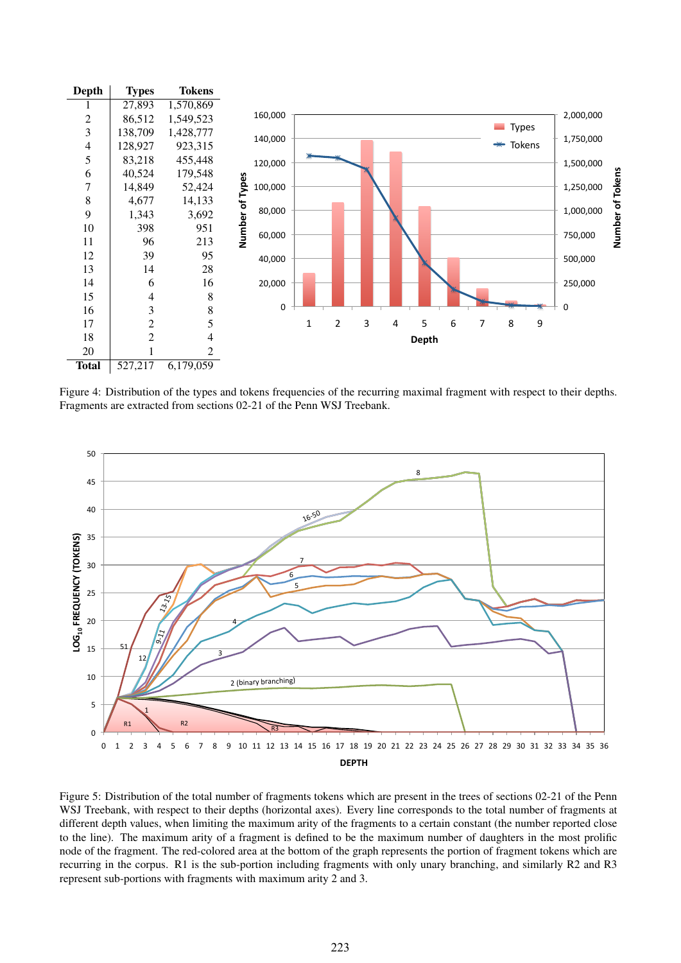

Figure 4: Distribution of the types and tokens frequencies of the recurring maximal fragment with respect to their depths. Fragments are extracted from sections 02-21 of the Penn WSJ Treebank.



Figure 5: Distribution of the total number of fragments tokens which are present in the trees of sections 02-21 of the Penn WSJ Treebank, with respect to their depths (horizontal axes). Every line corresponds to the total number of fragments at different depth values, when limiting the maximum arity of the fragments to a certain constant (the number reported close to the line). The maximum arity of a fragment is defined to be the maximum number of daughters in the most prolific node of the fragment. The red-colored area at the bottom of the graph represents the portion of fragment tokens which are recurring in the corpus. R1 is the sub-portion including fragments with only unary branching, and similarly R2 and R3 represent sub-portions with fragments with maximum arity 2 and 3.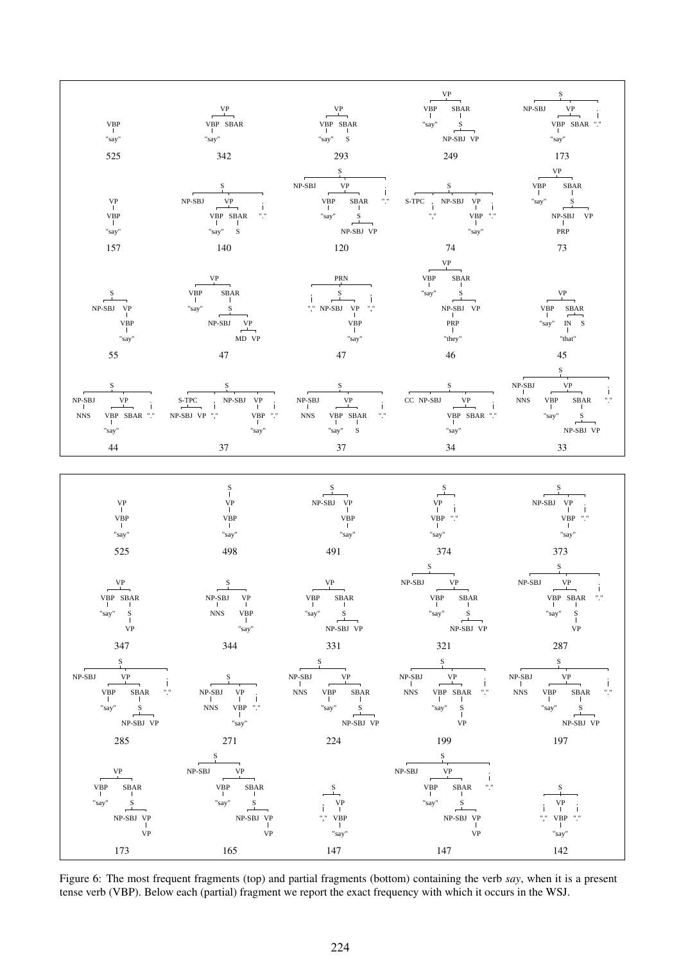

Figure 6: The most frequent fragments (top) and partial fragments (bottom) containing the verb *say*, when it is a present tense verb (VBP). Below each (partial) fragment we report the exact frequency with which it occurs in the WSJ.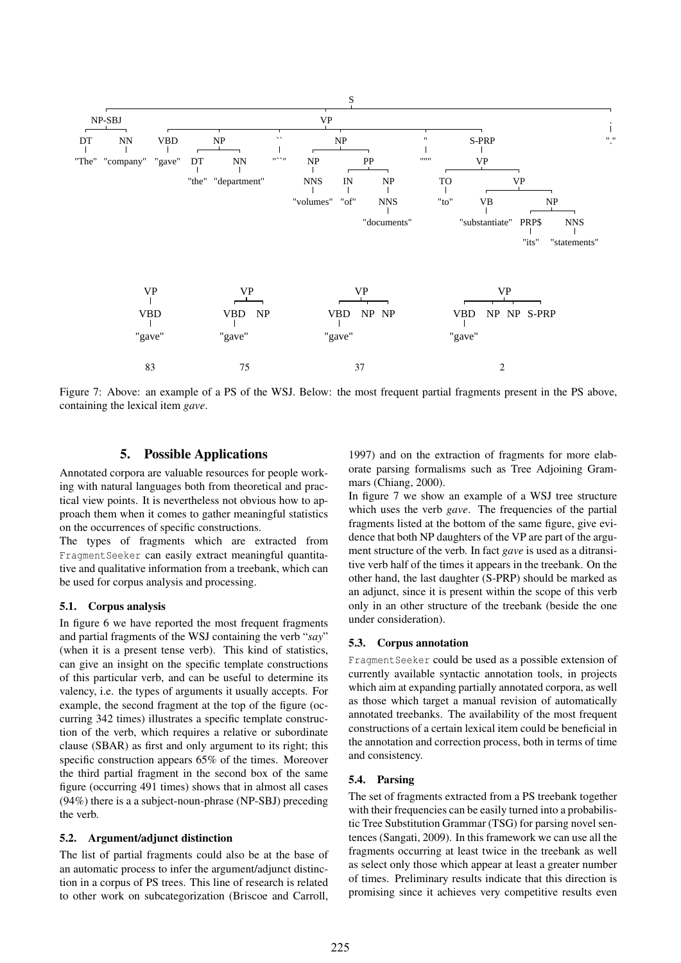

Figure 7: Above: an example of a PS of the WSJ. Below: the most frequent partial fragments present in the PS above, containing the lexical item *gave*.

## 5. Possible Applications

Annotated corpora are valuable resources for people working with natural languages both from theoretical and practical view points. It is nevertheless not obvious how to approach them when it comes to gather meaningful statistics on the occurrences of specific constructions.

The types of fragments which are extracted from FragmentSeeker can easily extract meaningful quantitative and qualitative information from a treebank, which can be used for corpus analysis and processing.

### 5.1. Corpus analysis

In figure 6 we have reported the most frequent fragments and partial fragments of the WSJ containing the verb "*say*" (when it is a present tense verb). This kind of statistics, can give an insight on the specific template constructions of this particular verb, and can be useful to determine its valency, i.e. the types of arguments it usually accepts. For example, the second fragment at the top of the figure (occurring 342 times) illustrates a specific template construction of the verb, which requires a relative or subordinate clause (SBAR) as first and only argument to its right; this specific construction appears 65% of the times. Moreover the third partial fragment in the second box of the same figure (occurring 491 times) shows that in almost all cases (94%) there is a a subject-noun-phrase (NP-SBJ) preceding the verb.

### 5.2. Argument/adjunct distinction

The list of partial fragments could also be at the base of an automatic process to infer the argument/adjunct distinction in a corpus of PS trees. This line of research is related to other work on subcategorization (Briscoe and Carroll,

1997) and on the extraction of fragments for more elaborate parsing formalisms such as Tree Adjoining Grammars (Chiang, 2000).

In figure 7 we show an example of a WSJ tree structure which uses the verb *gave*. The frequencies of the partial fragments listed at the bottom of the same figure, give evidence that both NP daughters of the VP are part of the argument structure of the verb. In fact *gave* is used as a ditransitive verb half of the times it appears in the treebank. On the other hand, the last daughter (S-PRP) should be marked as an adjunct, since it is present within the scope of this verb only in an other structure of the treebank (beside the one under consideration).

### 5.3. Corpus annotation

FragmentSeeker could be used as a possible extension of currently available syntactic annotation tools, in projects which aim at expanding partially annotated corpora, as well as those which target a manual revision of automatically annotated treebanks. The availability of the most frequent constructions of a certain lexical item could be beneficial in the annotation and correction process, both in terms of time and consistency.

### 5.4. Parsing

The set of fragments extracted from a PS treebank together with their frequencies can be easily turned into a probabilistic Tree Substitution Grammar (TSG) for parsing novel sentences (Sangati, 2009). In this framework we can use all the fragments occurring at least twice in the treebank as well as select only those which appear at least a greater number of times. Preliminary results indicate that this direction is promising since it achieves very competitive results even